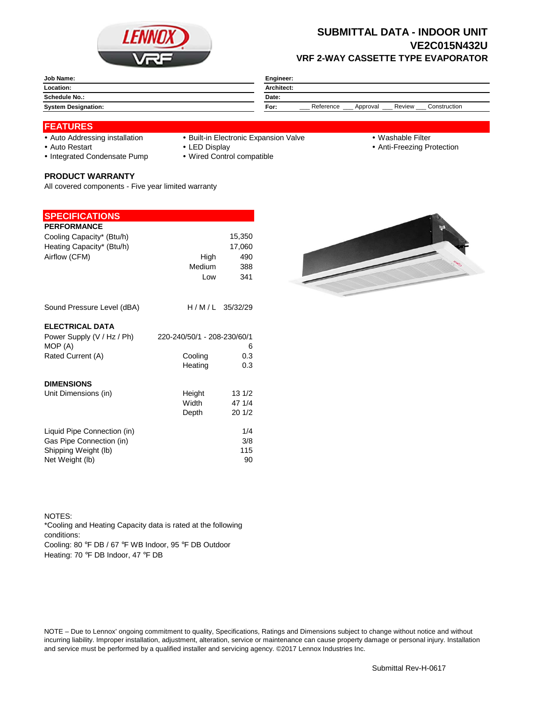

## **SUBMITTAL DATA - INDOOR UNIT VE2C015N432U VRF 2-WAY CASSETTE TYPE EVAPORATOR**

| <b>Job Name:</b>           | <b>Engineer:</b>                                        |  |  |
|----------------------------|---------------------------------------------------------|--|--|
| Location:                  | <b>Architect:</b>                                       |  |  |
| <b>Schedule No.:</b>       | Date:                                                   |  |  |
| <b>System Designation:</b> | Construction<br>Reference<br>Review<br>For:<br>Approval |  |  |

### **FEATURES**

- 
- Auto Addressing installation Built-in Electronic Expansion Valve Washable Filter
- 

- 
- Auto Restart **LED Display Community Auto Restart Auto Restart Community Community Community Community Community Community Community Community Community Community Community Community Community Community Community Communit**
- Integrated Condensate Pump Wired Control compatible

#### **PRODUCT WARRANTY**

All covered components - Five year limited warranty

#### **SPECIFICATIONS**

| <b>PERFORMANCE</b>                    |                             |        |
|---------------------------------------|-----------------------------|--------|
| Cooling Capacity* (Btu/h)             |                             | 15,350 |
| Heating Capacity* (Btu/h)             |                             | 17.060 |
| Airflow (CFM)                         | High                        | 490    |
|                                       | Medium                      | 388    |
|                                       | Low                         | 341    |
| Sound Pressure Level (dBA)            | H/M/L 35/32/29              |        |
| <b>ELECTRICAL DATA</b>                |                             |        |
| Power Supply (V / Hz / Ph)<br>MOP (A) | 220-240/50/1 - 208-230/60/1 | 6      |
| Rated Current (A)                     | Cooling                     | 0.3    |
|                                       | Heating                     | 0.3    |
| <b>DIMENSIONS</b>                     |                             |        |
| Unit Dimensions (in)                  | Height                      | 131/2  |
|                                       | Width                       | 47 1/4 |
|                                       | Depth                       | 201/2  |
| Liquid Pipe Connection (in)           |                             | 1/4    |
| Gas Pipe Connection (in)              |                             | 3/8    |
| Shipping Weight (lb)                  |                             | 115    |
| Net Weight (lb)                       |                             | 90     |



NOTES: Cooling: 80 °F DB / 67 °F WB Indoor, 95 °F DB Outdoor Heating: 70 °F DB Indoor, 47 °F DB \*Cooling and Heating Capacity data is rated at the following conditions:

NOTE – Due to Lennox' ongoing commitment to quality, Specifications, Ratings and Dimensions subject to change without notice and without incurring liability. Improper installation, adjustment, alteration, service or maintenance can cause property damage or personal injury. Installation and service must be performed by a qualified installer and servicing agency. ©2017 Lennox Industries Inc.